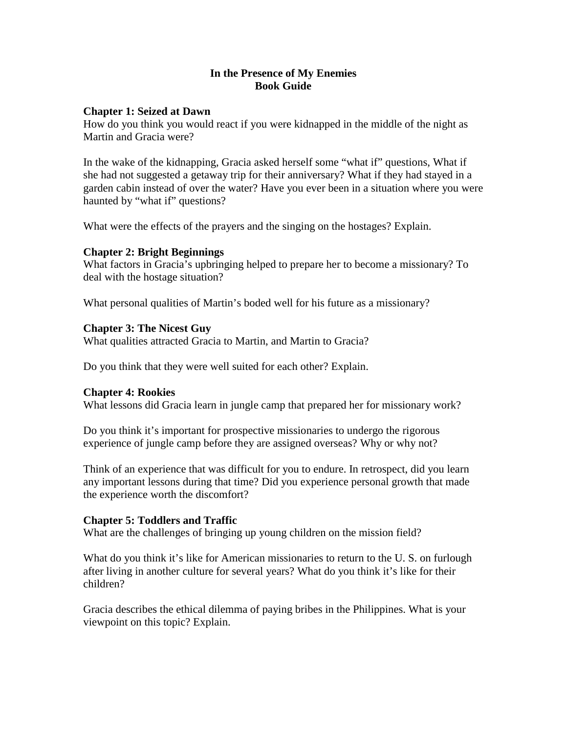### **In the Presence of My Enemies Book Guide**

### **Chapter 1: Seized at Dawn**

How do you think you would react if you were kidnapped in the middle of the night as Martin and Gracia were?

In the wake of the kidnapping, Gracia asked herself some "what if" questions, What if she had not suggested a getaway trip for their anniversary? What if they had stayed in a garden cabin instead of over the water? Have you ever been in a situation where you were haunted by "what if" questions?

What were the effects of the prayers and the singing on the hostages? Explain.

## **Chapter 2: Bright Beginnings**

What factors in Gracia's upbringing helped to prepare her to become a missionary? To deal with the hostage situation?

What personal qualities of Martin's boded well for his future as a missionary?

## **Chapter 3: The Nicest Guy**

What qualities attracted Gracia to Martin, and Martin to Gracia?

Do you think that they were well suited for each other? Explain.

### **Chapter 4: Rookies**

What lessons did Gracia learn in jungle camp that prepared her for missionary work?

Do you think it's important for prospective missionaries to undergo the rigorous experience of jungle camp before they are assigned overseas? Why or why not?

Think of an experience that was difficult for you to endure. In retrospect, did you learn any important lessons during that time? Did you experience personal growth that made the experience worth the discomfort?

# **Chapter 5: Toddlers and Traffic**

What are the challenges of bringing up young children on the mission field?

What do you think it's like for American missionaries to return to the U.S. on furlough after living in another culture for several years? What do you think it's like for their children?

Gracia describes the ethical dilemma of paying bribes in the Philippines. What is your viewpoint on this topic? Explain.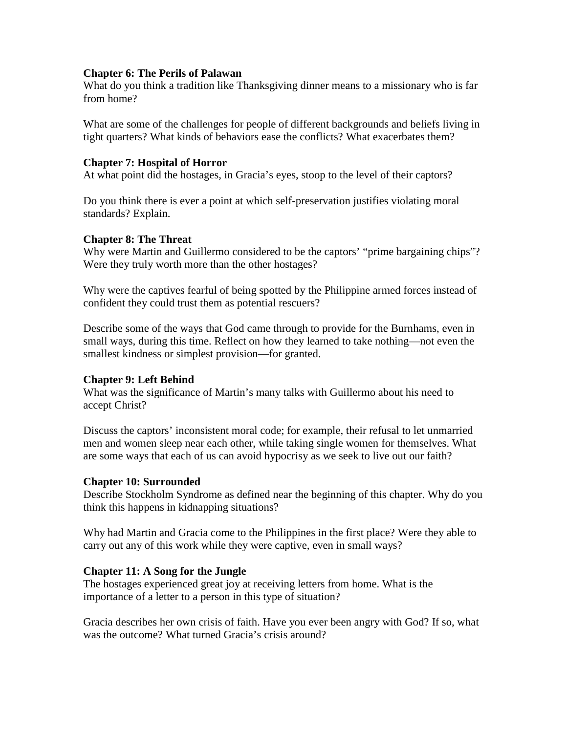#### **Chapter 6: The Perils of Palawan**

What do you think a tradition like Thanksgiving dinner means to a missionary who is far from home?

What are some of the challenges for people of different backgrounds and beliefs living in tight quarters? What kinds of behaviors ease the conflicts? What exacerbates them?

## **Chapter 7: Hospital of Horror**

At what point did the hostages, in Gracia's eyes, stoop to the level of their captors?

Do you think there is ever a point at which self-preservation justifies violating moral standards? Explain.

## **Chapter 8: The Threat**

Why were Martin and Guillermo considered to be the captors' "prime bargaining chips"? Were they truly worth more than the other hostages?

Why were the captives fearful of being spotted by the Philippine armed forces instead of confident they could trust them as potential rescuers?

Describe some of the ways that God came through to provide for the Burnhams, even in small ways, during this time. Reflect on how they learned to take nothing—not even the smallest kindness or simplest provision—for granted.

# **Chapter 9: Left Behind**

What was the significance of Martin's many talks with Guillermo about his need to accept Christ?

Discuss the captors' inconsistent moral code; for example, their refusal to let unmarried men and women sleep near each other, while taking single women for themselves. What are some ways that each of us can avoid hypocrisy as we seek to live out our faith?

# **Chapter 10: Surrounded**

Describe Stockholm Syndrome as defined near the beginning of this chapter. Why do you think this happens in kidnapping situations?

Why had Martin and Gracia come to the Philippines in the first place? Were they able to carry out any of this work while they were captive, even in small ways?

# **Chapter 11: A Song for the Jungle**

The hostages experienced great joy at receiving letters from home. What is the importance of a letter to a person in this type of situation?

Gracia describes her own crisis of faith. Have you ever been angry with God? If so, what was the outcome? What turned Gracia's crisis around?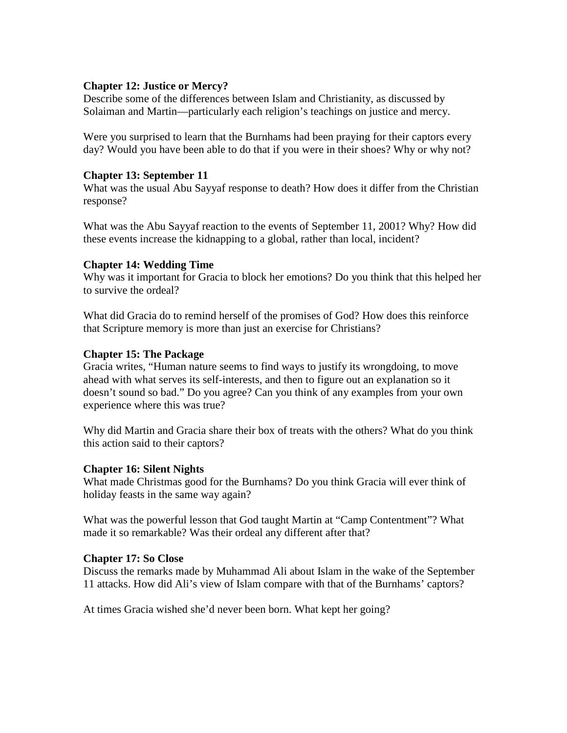### **Chapter 12: Justice or Mercy?**

Describe some of the differences between Islam and Christianity, as discussed by Solaiman and Martin—particularly each religion's teachings on justice and mercy.

Were you surprised to learn that the Burnhams had been praying for their captors every day? Would you have been able to do that if you were in their shoes? Why or why not?

## **Chapter 13: September 11**

What was the usual Abu Sayyaf response to death? How does it differ from the Christian response?

What was the Abu Sayyaf reaction to the events of September 11, 2001? Why? How did these events increase the kidnapping to a global, rather than local, incident?

## **Chapter 14: Wedding Time**

Why was it important for Gracia to block her emotions? Do you think that this helped her to survive the ordeal?

What did Gracia do to remind herself of the promises of God? How does this reinforce that Scripture memory is more than just an exercise for Christians?

## **Chapter 15: The Package**

Gracia writes, "Human nature seems to find ways to justify its wrongdoing, to move ahead with what serves its self-interests, and then to figure out an explanation so it doesn't sound so bad." Do you agree? Can you think of any examples from your own experience where this was true?

Why did Martin and Gracia share their box of treats with the others? What do you think this action said to their captors?

### **Chapter 16: Silent Nights**

What made Christmas good for the Burnhams? Do you think Gracia will ever think of holiday feasts in the same way again?

What was the powerful lesson that God taught Martin at "Camp Contentment"? What made it so remarkable? Was their ordeal any different after that?

### **Chapter 17: So Close**

Discuss the remarks made by Muhammad Ali about Islam in the wake of the September 11 attacks. How did Ali's view of Islam compare with that of the Burnhams' captors?

At times Gracia wished she'd never been born. What kept her going?